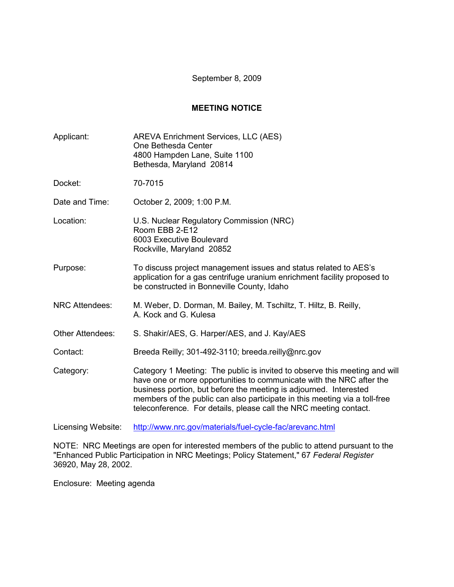September 8, 2009

## **MEETING NOTICE**

| Applicant:            | AREVA Enrichment Services, LLC (AES)<br>One Bethesda Center<br>4800 Hampden Lane, Suite 1100<br>Bethesda, Maryland 20814                                                                                                                                                                                                                                                   |  |
|-----------------------|----------------------------------------------------------------------------------------------------------------------------------------------------------------------------------------------------------------------------------------------------------------------------------------------------------------------------------------------------------------------------|--|
| Docket:               | 70-7015                                                                                                                                                                                                                                                                                                                                                                    |  |
| Date and Time:        | October 2, 2009; 1:00 P.M.                                                                                                                                                                                                                                                                                                                                                 |  |
| Location:             | U.S. Nuclear Regulatory Commission (NRC)<br>Room EBB 2-E12<br>6003 Executive Boulevard<br>Rockville, Maryland 20852                                                                                                                                                                                                                                                        |  |
| Purpose:              | To discuss project management issues and status related to AES's<br>application for a gas centrifuge uranium enrichment facility proposed to<br>be constructed in Bonneville County, Idaho                                                                                                                                                                                 |  |
| <b>NRC Attendees:</b> | M. Weber, D. Dorman, M. Bailey, M. Tschiltz, T. Hiltz, B. Reilly,<br>A. Kock and G. Kulesa                                                                                                                                                                                                                                                                                 |  |
| Other Attendees:      | S. Shakir/AES, G. Harper/AES, and J. Kay/AES                                                                                                                                                                                                                                                                                                                               |  |
| Contact:              | Breeda Reilly; 301-492-3110; breeda.reilly@nrc.gov                                                                                                                                                                                                                                                                                                                         |  |
| Category:             | Category 1 Meeting: The public is invited to observe this meeting and will<br>have one or more opportunities to communicate with the NRC after the<br>business portion, but before the meeting is adjourned. Interested<br>members of the public can also participate in this meeting via a toll-free<br>teleconference. For details, please call the NRC meeting contact. |  |
| Licensing Website:    | http://www.nrc.gov/materials/fuel-cycle-fac/arevanc.html                                                                                                                                                                                                                                                                                                                   |  |

NOTE: NRC Meetings are open for interested members of the public to attend pursuant to the "Enhanced Public Participation in NRC Meetings; Policy Statement," 67 *Federal Register* 36920, May 28, 2002.

Enclosure: Meeting agenda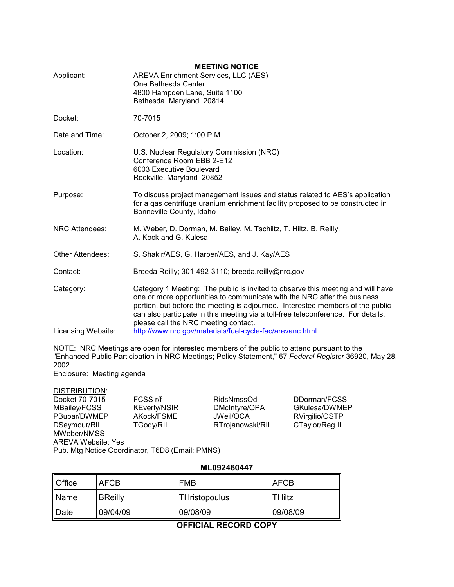| Applicant:            | <b>MEETING NOTICE</b><br>AREVA Enrichment Services, LLC (AES)<br>One Bethesda Center<br>4800 Hampden Lane, Suite 1100<br>Bethesda, Maryland 20814                                                                                                                                                                                                                          |  |
|-----------------------|----------------------------------------------------------------------------------------------------------------------------------------------------------------------------------------------------------------------------------------------------------------------------------------------------------------------------------------------------------------------------|--|
| Docket:               | 70-7015                                                                                                                                                                                                                                                                                                                                                                    |  |
| Date and Time:        | October 2, 2009; 1:00 P.M.                                                                                                                                                                                                                                                                                                                                                 |  |
| Location:             | U.S. Nuclear Regulatory Commission (NRC)<br>Conference Room EBB 2-E12<br>6003 Executive Boulevard<br>Rockville, Maryland 20852                                                                                                                                                                                                                                             |  |
| Purpose:              | To discuss project management issues and status related to AES's application<br>for a gas centrifuge uranium enrichment facility proposed to be constructed in<br>Bonneville County, Idaho                                                                                                                                                                                 |  |
| <b>NRC Attendees:</b> | M. Weber, D. Dorman, M. Bailey, M. Tschiltz, T. Hiltz, B. Reilly,<br>A. Kock and G. Kulesa                                                                                                                                                                                                                                                                                 |  |
| Other Attendees:      | S. Shakir/AES, G. Harper/AES, and J. Kay/AES                                                                                                                                                                                                                                                                                                                               |  |
| Contact:              | Breeda Reilly; 301-492-3110; breeda.reilly@nrc.gov                                                                                                                                                                                                                                                                                                                         |  |
| Category:             | Category 1 Meeting: The public is invited to observe this meeting and will have<br>one or more opportunities to communicate with the NRC after the business<br>portion, but before the meeting is adjourned. Interested members of the public<br>can also participate in this meeting via a toll-free teleconference. For details,<br>please call the NRC meeting contact. |  |
| Licensing Website:    | http://www.nrc.gov/materials/fuel-cycle-fac/arevanc.html                                                                                                                                                                                                                                                                                                                   |  |

NOTE: NRC Meetings are open for interested members of the public to attend pursuant to the "Enhanced Public Participation in NRC Meetings; Policy Statement," 67 *Federal Register* 36920, May 28, 2002.

Enclosure: Meeting agenda

DISTRIBUTION: Docket 70-7015 FCSS r/f RidsNmssOd DDorman/FCSS<br>MBailey/FCSS KEverly/NSIR DMcIntyre/OPA GKulesa/DWME PBubar/DWMEP AKock/FSME JWeil/OCA RVirgilio/OSTP<br>DSeymour/RII TGody/RII RTrojanowski/RII CTaylor/Reg II MWeber/NMSS AREVA Website: Yes

DMcIntyre/OPA GKulesa/DWMEP<br>JWeil/OCA RVirgilio/OSTP RTrojanowski/RII

Pub. Mtg Notice Coordinator, T6D8 (Email: PMNS)

## **ML092460447**

| Office | <b>AFCB</b>    | <b>FMB</b>    | <b>AFCB</b>   |
|--------|----------------|---------------|---------------|
| Name   | <b>BReilly</b> | THristopoulus | <b>THiltz</b> |
| Date   | 09/04/09       | 09/08/09      | 09/08/09      |

**OFFICIAL RECORD COPY**